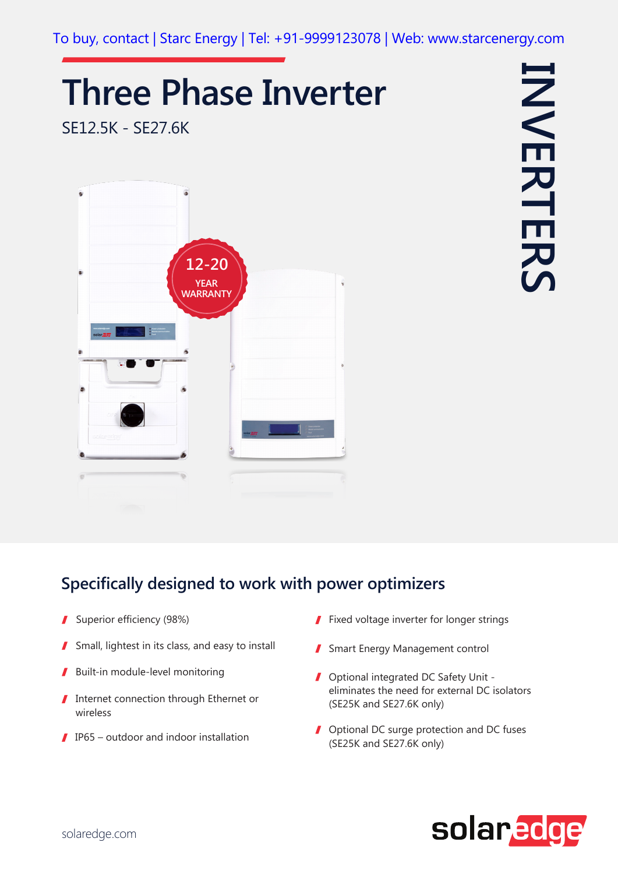## **Three Phase Inverter**

SE12.5K - SE27.6K





## **Specifically designed to work with power optimizers**

- Superior efficiency (98%)  $\mathbf{r}$
- Small, lightest in its class, and easy to install
- Built-in module-level monitoring
- Internet connection through Ethernet or  $\sqrt{2}$ wireless
- $\blacksquare$  IP65 outdoor and indoor installation
- $\blacksquare$  Fixed voltage inverter for longer strings
- Smart Energy Management control
- Optional integrated DC Safety Unit eliminates the need for external DC isolators (SE25K and SE27.6K only)
- **J** Optional DC surge protection and DC fuses (SE25K and SE27.6K only)